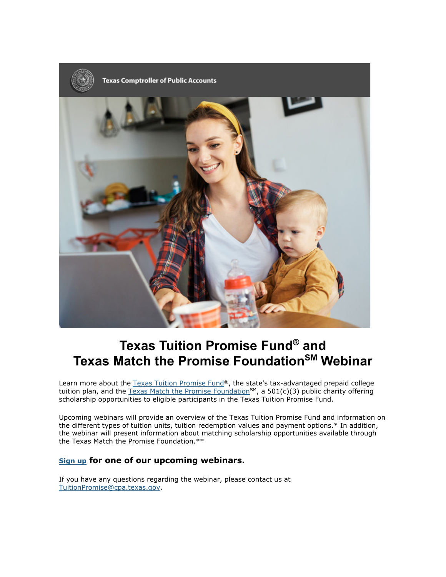

## **Texas Tuition Promise Fund® and Texas Match the Promise FoundationSM Webinar**

Learn more about the [Texas Tuition Promise Fund®](https://nam12.safelinks.protection.outlook.com/?url=https%3A%2F%2Flnks.gd%2Fl%2FeyJhbGciOiJIUzI1NiJ9.eyJidWxsZXRpbl9saW5rX2lkIjoxMDEsInVyaSI6ImJwMjpjbGljayIsImJ1bGxldGluX2lkIjoiMjAyMTAxMTkuMzM1NTIwNzEiLCJ1cmwiOiJodHRwOi8vdHVpdGlvbnByb21pc2Uub3JnLyJ9.4cLZuGJYAwdYNjv_pGBeyLt8nGvBvFEq34UskZ6x_3o%2Fs%2F815829371%2Fbr%2F93291773415-l&data=04%7C01%7Clorenaedc%40lorenatx.gov%7Ccb16a3fda01b418e34d408d8bc9581d4%7C15c2b13827974255b2f205d41f19889c%7C0%7C0%7C637466697617458646%7CUnknown%7CTWFpbGZsb3d8eyJWIjoiMC4wLjAwMDAiLCJQIjoiV2luMzIiLCJBTiI6Ik1haWwiLCJXVCI6Mn0%3D%7C1000&sdata=1dagGHjMOjJhZTh2Xmz8F5OCMA4inguG4oaq50oOay8%3D&reserved=0), the state's tax-advantaged prepaid college tuition plan, and the Texas Match the Promise Foundation<sup>SM</sup>, a 501(c)(3) public charity offering scholarship opportunities to eligible participants in the Texas Tuition Promise Fund.

Upcoming webinars will provide an overview of the Texas Tuition Promise Fund and information on the different types of tuition units, tuition redemption values and payment options.\* In addition, the webinar will present information about matching scholarship opportunities available through the Texas Match the Promise Foundation.\*\*

## **[Sign up](https://nam12.safelinks.protection.outlook.com/?url=https%3A%2F%2Flnks.gd%2Fl%2FeyJhbGciOiJIUzI1NiJ9.eyJidWxsZXRpbl9saW5rX2lkIjoxMDMsInVyaSI6ImJwMjpjbGljayIsImJ1bGxldGluX2lkIjoiMjAyMTAxMTkuMzM1NTIwNzEiLCJ1cmwiOiJodHRwczovL3d3dy50ZXhhc3R1aXRpb25wcm9taXNlZnVuZC5jb20vZXZlbnRzLyJ9.xC45ZwpDg44UKiKMZSVWm5XzQm5QEbtZAxFJUHys7Eg%2Fs%2F815829371%2Fbr%2F93291773415-l&data=04%7C01%7Clorenaedc%40lorenatx.gov%7Ccb16a3fda01b418e34d408d8bc9581d4%7C15c2b13827974255b2f205d41f19889c%7C0%7C0%7C637466697617468641%7CUnknown%7CTWFpbGZsb3d8eyJWIjoiMC4wLjAwMDAiLCJQIjoiV2luMzIiLCJBTiI6Ik1haWwiLCJXVCI6Mn0%3D%7C1000&sdata=BmP0r%2BWkvW3I7FnFo%2Fd2ChCBELH%2Fq6AVBqevxvXh9%2B0%3D&reserved=0) for one of our upcoming webinars.**

If you have any questions regarding the webinar, please contact us at [TuitionPromise@cpa.texas.gov.](mailto:TuitionPromise@cpa.texas.gov)